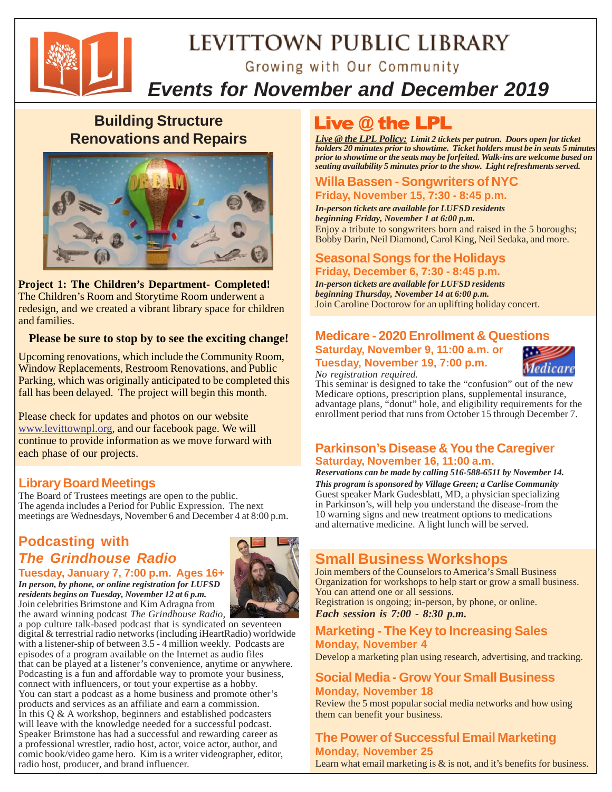

# LEVITTOWN PUBLIC LIBRARY Growing with Our Community

# *Events for November and December 2019*

# **Building Structure Renovations and Repairs**



**Project 1: The Children's Department- Completed!** The Children's Room and Storytime Room underwent a redesign, and we created a vibrant library space for children and families.

### **Please be sure to stop by to see the exciting change!**

Upcoming renovations, which include the Community Room, Window Replacements, Restroom Renovations, and Public Parking, which was originally anticipated to be completed this fall has been delayed. The project will begin this month.

Please check for updates and photos on our website www.levittownpl.org, and our facebook page. We will continue to provide information as we move forward with each phase of our projects.

# **Library Board Meetings**

The Board of Trustees meetings are open to the public. The agenda includes a Period for Public Expression. The next meetings are Wednesdays, November 6 and December 4 at 8:00 p.m.

# **Podcasting with** *The Grindhouse Radio*



**Tuesday, January 7, 7:00 p.m. Ages 16+** *In person, by phone, or online registration for LUFSD residents begins on Tuesday, November 12 at 6 p.m.* Join celebrities Brimstone and Kim Adragna from the award winning podcast *The Grindhouse Radio,*

a pop culture talk-based podcast that is syndicated on seventeen digital & terrestrial radio networks (including iHeartRadio) worldwide with a listener-ship of between 3.5 - 4 million weekly. Podcasts are episodes of a program available on the Internet as audio files that can be played at a listener's convenience, anytime or anywhere. Podcasting is a fun and affordable way to promote your business, connect with influencers, or tout your expertise as a hobby. You can start a podcast as a home business and promote other's products and services as an affiliate and earn a commission. In this  $Q \& A$  workshop, beginners and established podcasters will leave with the knowledge needed for a successful podcast. Speaker Brimstone has had a successful and rewarding career as a professional wrestler, radio host, actor, voice actor, author, and comic book/video game hero. Kim is a writer videographer, editor, radio host, producer, and brand influencer.

# **Live @ the LPL**

*Live @ the LPL Policy: Limit 2 tickets per patron. Doors open for ticket holders 20 minutes prior to showtime. Ticket holders must be in seats 5 minutes prior to showtime or the seats may be forfeited. Walk-ins are welcome based on seating availability 5 minutes prior to the show. Light refreshments served.*

# **Willa Bassen - Songwriters of NYC**

#### **Friday, November 15, 7:30 - 8:45 p.m.**

*In-person tickets are available for LUFSD residents beginning Friday, November 1 at 6:00 p.m.* Enjoy a tribute to songwriters born and raised in the 5 boroughs; Bobby Darin, Neil Diamond, Carol King, Neil Sedaka, and more.

### **Seasonal Songs for the Holidays Friday, December 6, 7:30 - 8:45 p.m.**

*In-person tickets are available for LUFSD residents beginning Thursday, November 14 at 6:00 p.m.* Join Caroline Doctorow for an uplifting holiday concert.

# **Medicare - 2020 Enrollment & Questions**

**Saturday, November 9, 11:00 a.m. or Tuesday, November 19, 7:00 p.m.** *No registration required.*



This seminar is designed to take the "confusion" out of the new Medicare options, prescription plans, supplemental insurance, advantage plans, "donut" hole, and eligibility requirements for the enrollment period that runs from October 15 through December 7.

### **Parkinson's Disease & You the Caregiver Saturday, November 16, 11:00 a.m.**

*Reservations can be made by calling 516-588-6511 by November 14. This program is sponsored by Village Green; a Carlise Community* Guest speaker Mark Gudesblatt, MD, a physician specializing in Parkinson's, will help you understand the disease-from the 10 warning signs and new treatment options to medications and alternative medicine. A light lunch will be served.

# **Small Business Workshops**

Join members of the Counselors to America's Small Business Organization for workshops to help start or grow a small business. You can attend one or all sessions. Registration is ongoing; in-person, by phone, or online.

*Each session is 7:00 - 8:30 p.m.*

### **Marketing - The Key to Increasing Sales Monday, November 4**

Develop a marketing plan using research, advertising, and tracking.

# **Social Media - Grow Your Small Business Monday, November 18**

Review the 5 most popular social media networks and how using them can benefit your business.

### **The Power of Successful Email Marketing Monday, November 25**

Learn what email marketing is & is not, and it's benefits for business.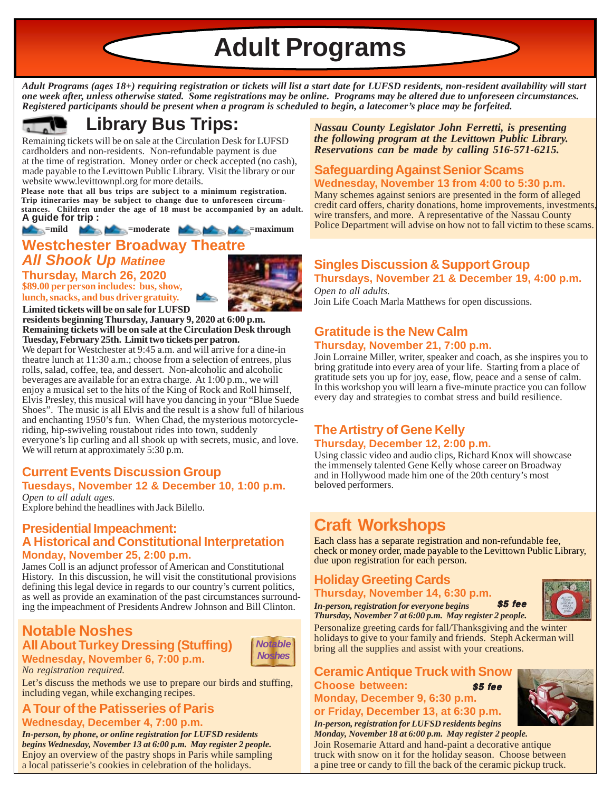**Adult Programs**

*Adult Programs (ages 18+) requiring registration or tickets will list a start date for LUFSD residents, non-resident availability will start one week after, unless otherwise stated. Some registrations may be online. Programs may be altered due to unforeseen circumstances. Registered participants should be present when a program is scheduled to begin, a latecomer's place may be forfeited.*



# **Library Bus Trips:**

Remaining tickets will be on sale at the Circulation Desk for LUFSD cardholders and non-residents. Non-refundable payment is due at the time of registration. Money order or check accepted (no cash), made payable to the Levittown Public Library. Visit the library or our website www.levittownpl.org for more details.

**Please note that all bus trips are subject to a minimum registration. Trip itineraries may be subject to change due to unforeseen circumstances. Children under the age of 18 must be accompanied by an adult. A guide for trip :**

**12 =mild**  $\blacktriangleright$   $\blacktriangleright$   $\blacktriangleright$  =moderate  $\blacktriangleright$   $\blacktriangleright$   $\blacktriangleright$  =maximum

**Westchester Broadway Theatre**

### *All Shook Up Matinee* **Thursday, March 26, 2020**

**\$89.00 per person includes: bus, show, lunch, snacks, and bus driver gratuity.**



**Limited tickets will be on sale for LUFSD residents beginning Thursday, January 9, 2020 at 6:00 p.m. Remaining tickets will be on sale at the Circulation Desk through Tuesday, February 25th. Limit two tickets per patron.**

We depart for Westchester at 9:45 a.m. and will arrive for a dine-in theatre lunch at 11:30 a.m.; choose from a selection of entrees, plus rolls, salad, coffee, tea, and dessert. Non-alcoholic and alcoholic beverages are available for an extra charge. At 1:00 p.m., we will enjoy a musical set to the hits of the King of Rock and Roll himself, Elvis Presley, this musical will have you dancing in your "Blue Suede Shoes". The music is all Elvis and the result is a show full of hilarious and enchanting 1950's fun. When Chad, the mysterious motorcycleriding, hip-swiveling roustabout rides into town, suddenly everyone's lip curling and all shook up with secrets, music, and love. We will return at approximately 5:30 p.m.

# **Current Events Discussion Group Tuesdays, November 12 & December 10, 1:00 p.m.**

*Open to all adult ages.* Explore behind the headlines with Jack Bilello.

### **Presidential Impeachment: A Historical and Constitutional Interpretation Monday, November 25, 2:00 p.m.**

James Coll is an adjunct professor of American and Constitutional History. In this discussion, he will visit the constitutional provisions defining this legal device in regards to our country's current politics, as well as provide an examination of the past circumstances surrounding the impeachment of Presidents Andrew Johnson and Bill Clinton.

# **Notable Noshes All About Turkey Dressing (Stuffing) Wednesday, November 6, 7:00 p.m.**



Let's discuss the methods we use to prepare our birds and stuffing, including vegan, while exchanging recipes.

# **A Tour of the Patisseries of Paris**

*No registration required.*

**Wednesday, December 4, 7:00 p.m.** Enjoy an overview of the pastry shops in Paris while sampling a local patisserie's cookies in celebration of the holidays. *In-person, by phone, or online registration for LUFSD residents begins Wednesday, November 13 at 6:00 p.m. May register 2 people.*

*Nassau County Legislator John Ferretti, is presenting the following program at the Levittown Public Library. Reservations can be made by calling 516-571-6215.*

# **Safeguarding Against Senior Scams Wednesday, November 13 from 4:00 to 5:30 p.m.**

Many schemes against seniors are presented in the form of alleged credit card offers, charity donations, home improvements, investments, wire transfers, and more. A representative of the Nassau County Police Department will advise on how not to fall victim to these scams.

### **Singles Discussion & Support Group Thursdays, November 21 & December 19, 4:00 p.m.**

*Open to all adults.* Join Life Coach Marla Matthews for open discussions.

# **Gratitude is the New Calm Thursday, November 21, 7:00 p.m.**

Join Lorraine Miller, writer, speaker and coach, as she inspires you to bring gratitude into every area of your life. Starting from a place of gratitude sets you up for joy, ease, flow, peace and a sense of calm. In this workshop you will learn a five-minute practice you can follow every day and strategies to combat stress and build resilience.

# **The Artistry of Gene Kelly Thursday, December 12, 2:00 p.m.**

Using classic video and audio clips, Richard Knox will showcase the immensely talented Gene Kelly whose career on Broadway and in Hollywood made him one of the 20th century's most beloved performers.

# **Craft Workshops**

Each class has a separate registration and non-refundable fee, check or money order, made payable to the Levittown Public Library, due upon registration for each person.

# **Holiday Greeting Cards**



*Thursday, November 7 at 6:00 p.m. May register 2 people.*

Personalize greeting cards for fall/Thanksgiving and the winter holidays to give to your family and friends. Steph Ackerman will bring all the supplies and assist with your creations.

#### **Ceramic Antique Truck with Snow Choose between: Monday, December 9, 6:30 p.m.**  $$5$  fee

**or Friday, December 13, at 6:30 p.m.** *In-person, registration for LUFSD residents begins*

*Monday, November 18 at 6:00 p.m. May register 2 people.* Join Rosemarie Attard and hand-paint a decorative antique truck with snow on it for the holiday season. Choose between a pine tree or candy to fill the back of the ceramic pickup truck.

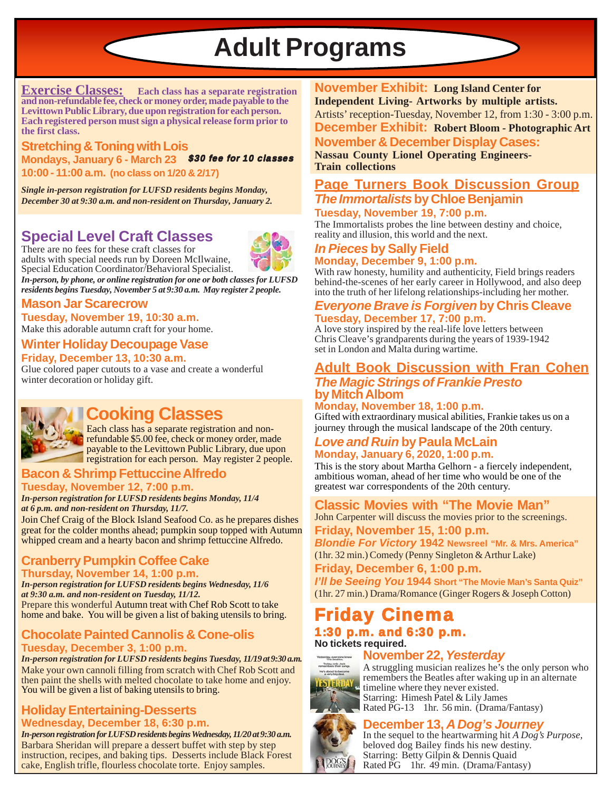**Adult Programs**

**Exercise Classes: Each class has a separate registration and non-refundable fee, check or money order, made payable to the Levittown Public Library, due upon registration for each person. Each registered person must sign a physical release form prior to the first class.**

**Stretching & Toning with Lois Mondays, January 6 - March 23** \$30 fee for 10 classes**10:00 - 11:00 a.m. (no class on 1/20 & 2/17)**

*Single in-person registration for LUFSD residents begins Monday, December 30 at 9:30 a.m. and non-resident on Thursday, January 2.*

# **Special Level Craft Classes**

There are no fees for these craft classes for adults with special needs run by Doreen McIlwaine, Special Education Coordinator/Behavioral Specialist.

*In-person, by phone, or online registration for one or both classes for LUFSD residents begins Tuesday, November 5 at 9:30 a.m. May register 2 people.*

# **Mason Jar Scarecrow**

Make this adorable autumn craft for your home. **Tuesday, November 19, 10:30 a.m.**

#### **Winter Holiday Decoupage Vase Friday, December 13, 10:30 a.m.**

Glue colored paper cutouts to a vase and create a wonderful winter decoration or holiday gift.



# **Cooking Classes**

Each class has a separate registration and nonrefundable \$5.00 fee, check or money order, made payable to the Levittown Public Library, due upon registration for each person. May register 2 people.

### **Bacon & Shrimp Fettuccine Alfredo Tuesday, November 12, 7:00 p.m.**

*In-person registration for LUFSD residents begins Monday, 11/4 at 6 p.m. and non-resident on Thursday, 11/7.*

Join Chef Craig of the Block Island Seafood Co. as he prepares dishes great for the colder months ahead; pumpkin soup topped with Autumn whipped cream and a hearty bacon and shrimp fettuccine Alfredo.

### **Cranberry Pumpkin Coffee Cake Thursday, November 14, 1:00 p.m.**

*In-person registration for LUFSD residents begins Wednesday, 11/6 at 9:30 a.m. and non-resident on Tuesday, 11/12.* Prepare this wonderful Autumn treat with Chef Rob Scott to take home and bake. You will be given a list of baking utensils to bring.

# **Chocolate Painted Cannolis & Cone-olis Tuesday, December 3, 1:00 p.m.**

*In-person registration for LUFSD residents begins Tuesday, 11/19 at 9:30 a.m.* Make your own cannoli filling from scratch with Chef Rob Scott and then paint the shells with melted chocolate to take home and enjoy. You will be given a list of baking utensils to bring.

### **Holiday Entertaining-Desserts Wednesday, December 18, 6:30 p.m.**

Barbara Sheridan will prepare a dessert buffet with step by step instruction, recipes, and baking tips. Desserts include Black Forest cake, English trifle, flourless chocolate torte. Enjoy samples. *In-person registration for LUFSD residents begins Wednesday, 11/20 at 9:30 a.m.*

**November Exhibit: Long Island Center for Independent Living- Artworks by multiple artists.** Artists' reception-Tuesday, November 12, from 1:30 - 3:00 p.m. **November & December Display Cases: December Exhibit: Robert Bloom - Photographic Art**

**Nassau County Lionel Operating Engineers-Train collections**

### **Page Turners Book Discussion Group** *The Immortalists* **by Chloe Benjamin Tuesday, November 19, 7:00 p.m.**

The Immortalists probes the line between destiny and choice, reality and illusion, this world and the next.

# *In Pieces* **by Sally Field Monday, December 9, 1:00 p.m.**

With raw honesty, humility and authenticity, Field brings readers behind-the-scenes of her early career in Hollywood, and also deep into the truth of her lifelong relationships-including her mother.

### *Everyone Brave is Forgiven* **by Chris Cleave Tuesday, December 17, 7:00 p.m.**

A love story inspired by the real-life love letters between Chris Cleave's grandparents during the years of 1939-1942 set in London and Malta during wartime.

# **Adult Book Discussion with Fran Cohen**

# *The Magic Strings of Frankie Presto* **by Mitch Albom**

**Monday, November 18, 1:00 p.m.** Gifted with extraordinary musical abilities, Frankie takes us on a journey through the musical landscape of the 20th century.

### *Love and Ruin* **by Paula McLain Monday, January 6, 2020, 1:00 p.m.**

This is the story about Martha Gelhorn - a fiercely independent, ambitious woman, ahead of her time who would be one of the greatest war correspondents of the 20th century.

# **Classic Movies with "The Movie Man"**

**Friday, November 15, 1:00 p.m.** John Carpenter will discuss the movies prior to the screenings.

*Blondie For Victory* **1942 Newsreel "Mr. & Mrs. America"** (1hr. 32 min.) Comedy (Penny Singleton & Arthur Lake)

**Friday, December 6, 1:00 p.m.**

*I'll be Seeing You* **1944 Short "The Movie Man's Santa Quiz"** (1hr. 27 min.) Drama/Romance (Ginger Rogers & Joseph Cotton)

# Friday Cinema

#### 1:30 p.m. and 6:30 p.m. **No tickets required.**

### **November 22,** *Yesterday*



A struggling musician realizes he's the only person who remembers the Beatles after waking up in an alternate timeline where they never existed. Starring: Himesh Patel & Lily James Rated PG-13 1hr. 56 min. (Drama/Fantasy)



**December 13,** *A Dog's Journey* In the sequel to the heartwarming hit *A Dog's Purpose,* beloved dog Bailey finds his new destiny. Starring: Betty Gilpin & Dennis Quaid Rated PG 1hr. 49 min. (Drama/Fantasy)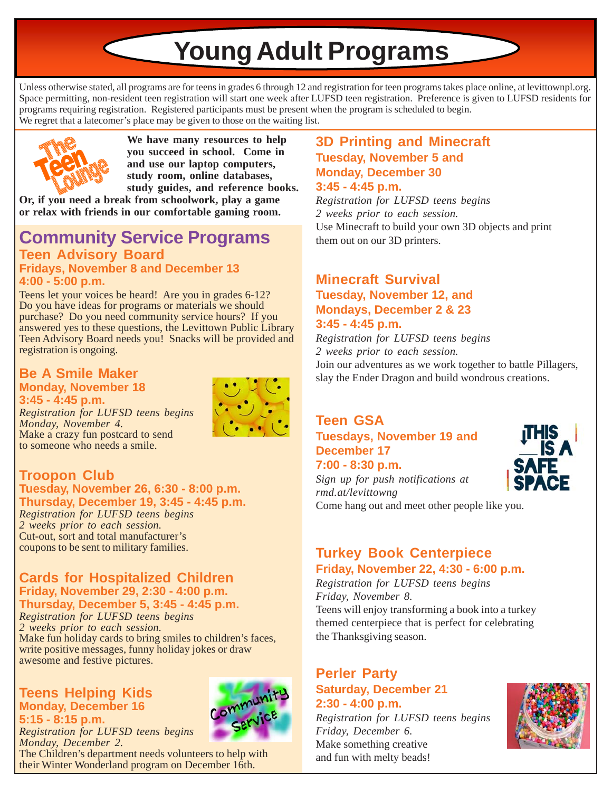# **Young Adult Programs**

Unless otherwise stated, all programs are for teens in grades 6 through 12 and registration for teen programs takes place online, at levittownpl.org. Space permitting, non-resident teen registration will start one week after LUFSD teen registration. Preference is given to LUFSD residents for programs requiring registration. Registered participants must be present when the program is scheduled to begin. We regret that a latecomer's place may be given to those on the waiting list.



**We have many resources to help you succeed in school. Come in and use our laptop computers, study room, online databases, study guides, and reference books.**

**Or, if you need a break from schoolwork, play a game or relax with friends in our comfortable gaming room.**

# **Teen Advisory Board Fridays, November 8 and December 13 Community Service Programs**

**4:00 - 5:00 p.m.**

Teens let your voices be heard! Are you in grades 6-12? Do you have ideas for programs or materials we should purchase? Do you need community service hours? If you answered yes to these questions, the Levittown Public Library Teen Advisory Board needs you! Snacks will be provided and registration is ongoing.

### **Be A Smile Maker Monday, November 18 3:45 - 4:45 p.m.**

*Registration for LUFSD teens begins Monday, November 4.* Make a crazy fun postcard to send to someone who needs a smile.



# **Troopon Club**

**Tuesday, November 26, 6:30 - 8:00 p.m. Thursday, December 19, 3:45 - 4:45 p.m.**

*Registration for LUFSD teens begins 2 weeks prior to each session.* Cut-out, sort and total manufacturer's coupons to be sent to military families.

# **Cards for Hospitalized Children Friday, November 29, 2:30 - 4:00 p.m. Thursday, December 5, 3:45 - 4:45 p.m.**

*Registration for LUFSD teens begins 2 weeks prior to each session.* Make fun holiday cards to bring smiles to children's faces, write positive messages, funny holiday jokes or draw awesome and festive pictures.

### **Teens Helping Kids Monday, December 16 5:15 - 8:15 p.m.**



*Registration for LUFSD teens begins Monday, December 2.*

The Children's department needs volunteers to help with their Winter Wonderland program on December 16th.

# **3D Printing and Minecraft Tuesday, November 5 and Monday, December 30 3:45 - 4:45 p.m.**

*Registration for LUFSD teens begins 2 weeks prior to each session.* Use Minecraft to build your own 3D objects and print them out on our 3D printers.

# **Minecraft Survival Tuesday, November 12, and Mondays, December 2 & 23 3:45 - 4:45 p.m.**

*Registration for LUFSD teens begins 2 weeks prior to each session.* Join our adventures as we work together to battle Pillagers, slay the Ender Dragon and build wondrous creations.

# **Teen GSA Tuesdays, November 19 and December 17**



**7:00 - 8:30 p.m.** *Sign up for push notifications at rmd.at/levittowng* Come hang out and meet other people like you.

# **Turkey Book Centerpiece Friday, November 22, 4:30 - 6:00 p.m.**

*Registration for LUFSD teens begins Friday, November 8.* Teens will enjoy transforming a book into a turkey

themed centerpiece that is perfect for celebrating the Thanksgiving season.

# **Perler Party Saturday, December 21 2:30 - 4:00 p.m.**

*Registration for LUFSD teens begins Friday, December 6.* Make something creative and fun with melty beads!

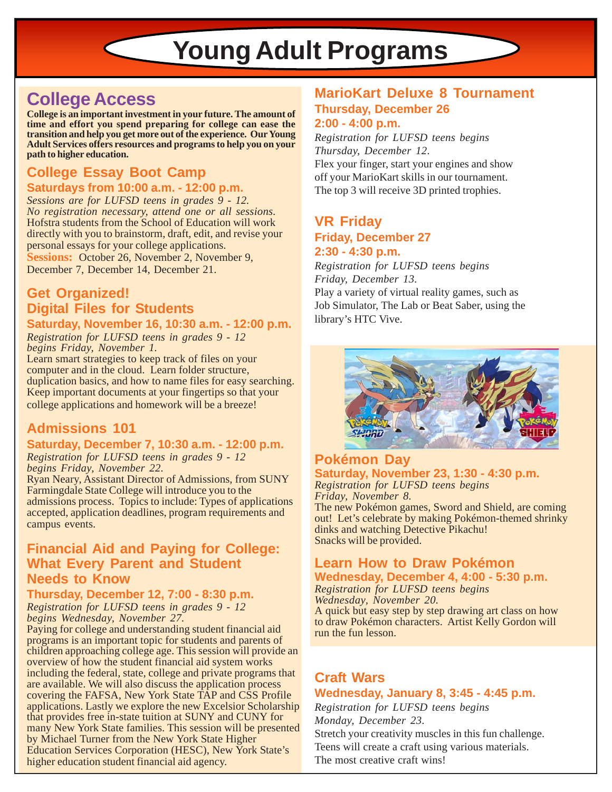# **Young Adult Programs**

# **College Access**

**College is an important investment in your future. The amount of time and effort you spend preparing for college can ease the transition and help you get more out of the experience. Our Young Adult Services offers resources and programs to help you on your path to higher education.**

# **College Essay Boot Camp**

# **Saturdays from 10:00 a.m. - 12:00 p.m.**

*Sessions are for LUFSD teens in grades 9 - 12. No registration necessary, attend one or all sessions.* Hofstra students from the School of Education will work directly with you to brainstorm, draft, edit, and revise your personal essays for your college applications. **Sessions:** October 26, November 2, November 9, December 7, December 14, December 21.

# **Get Organized! Digital Files for Students Saturday, November 16, 10:30 a.m. - 12:00 p.m.**

*Registration for LUFSD teens in grades 9 - 12 begins Friday, November 1.*

Learn smart strategies to keep track of files on your computer and in the cloud. Learn folder structure, duplication basics, and how to name files for easy searching. Keep important documents at your fingertips so that your college applications and homework will be a breeze!

# **Admissions 101**

#### **Saturday, December 7, 10:30 a.m. - 12:00 p.m.** *Registration for LUFSD teens in grades 9 - 12 begins Friday, November 22.*

Ryan Neary, Assistant Director of Admissions, from SUNY Farmingdale State College will introduce you to the admissions process. Topics to include: Types of applications accepted, application deadlines, program requirements and campus events.

# **Financial Aid and Paying for College: What Every Parent and Student Needs to Know**

# **Thursday, December 12, 7:00 - 8:30 p.m.**

*Registration for LUFSD teens in grades 9 - 12 begins Wednesday, November 27.*

Paying for college and understanding student financial aid programs is an important topic for students and parents of children approaching college age. This session will provide an overview of how the student financial aid system works including the federal, state, college and private programs that are available. We will also discuss the application process covering the FAFSA, New York State TAP and CSS Profile applications. Lastly we explore the new Excelsior Scholarship that provides free in-state tuition at SUNY and CUNY for many New York State families. This session will be presented by Michael Turner from the New York State Higher Education Services Corporation (HESC), New York State's higher education student financial aid agency.

# **MarioKart Deluxe 8 Tournament Thursday, December 26 2:00 - 4:00 p.m.**

*Registration for LUFSD teens begins Thursday, December 12.* Flex your finger, start your engines and show off your MarioKart skills in our tournament. The top 3 will receive 3D printed trophies.

# **VR Friday Friday, December 27 2:30 - 4:30 p.m.**

*Registration for LUFSD teens begins Friday, December 13.*

Play a variety of virtual reality games, such as Job Simulator, The Lab or Beat Saber, using the library's HTC Vive.



### **Pokémon Day Saturday, November 23, 1:30 - 4:30 p.m.** *Registration for LUFSD teens begins*

*Friday, November 8.*

The new Pokémon games, Sword and Shield, are coming out! Let's celebrate by making Pokémon-themed shrinky dinks and watching Detective Pikachu! Snacks will be provided.

# **Learn How to Draw Pokémon Wednesday, December 4, 4:00 - 5:30 p.m.**

*Registration for LUFSD teens begins Wednesday, November 20.* A quick but easy step by step drawing art class on how to draw Pokémon characters. Artist Kelly Gordon will run the fun lesson.

# **Craft Wars Wednesday, January 8, 3:45 - 4:45 p.m.**

*Registration for LUFSD teens begins Monday, December 23.* Stretch your creativity muscles in this fun challenge. Teens will create a craft using various materials. The most creative craft wins!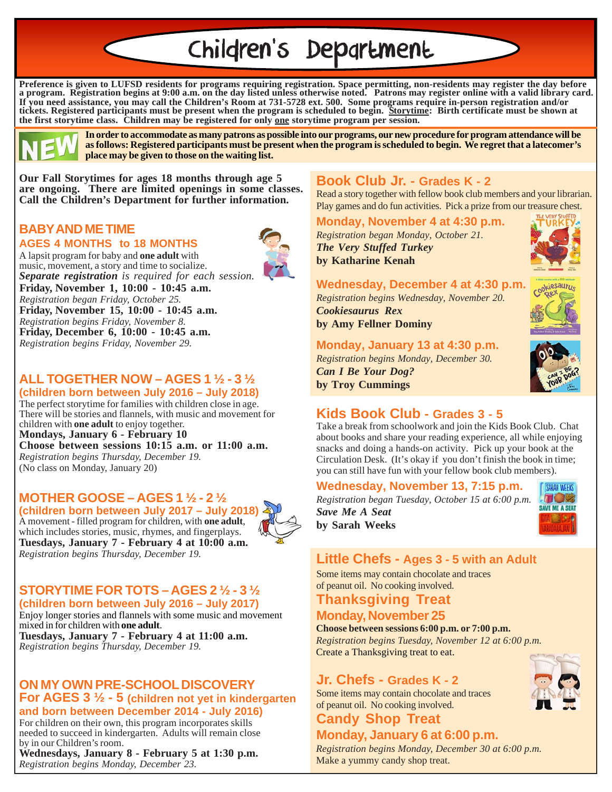# Children's Department

**Preference is given to LUFSD residents for programs requiring registration. Space permitting, non-residents may register the day before a program. Registration begins at 9:00 a.m. on the day listed unless otherwise noted. Patrons may register online with a valid library card. If you need assistance, you may call the Children's Room at 731-5728 ext. 500. Some programs require in-person registration and/or tickets. Registered participants must be present when the program is scheduled to begin. Storytime: Birth certificate must be shown at the first storytime class. Children may be registered for only one storytime program per session.**



**In order to accommodate as many patrons as possible into our programs, our new procedure for program attendance will be as follows: Registered participants must be present when the program is scheduled to begin. We regret that a latecomer's place may be given to those on the waiting list.**

**Our Fall Storytimes for ages 18 months through age 5 are ongoing. There are limited openings in some classes. Call the Children's Department for further information.**

### **BABY AND ME TIME AGES 4 MONTHS to 18 MONTHS**



A lapsit program for baby and **one adult** with music, movement, a story and time to socialize. *Separate registration is required for each session.* **Friday, November 1, 10:00 - 10:45 a.m.** *Registration began Friday, October 25.* **Friday, November 15, 10:00 - 10:45 a.m.** *Registration begins Friday, November 8.* **Friday, December 6, 10:00 - 10:45 a.m.** *Registration begins Friday, November 29.*

# **ALL TOGETHER NOW – AGES 1 ½ - 3 ½**

**(children born between July 2016 – July 2018)** The perfect storytime for families with children close in age. There will be stories and flannels, with music and movement for children with **one adult** to enjoy together. **Mondays, January 6 - February 10 Choose between sessions 10:15 a.m. or 11:00 a.m.** *Registration begins Thursday, December 19.* (No class on Monday, January 20)

# **MOTHER GOOSE – AGES 1 ½ - 2 ½**

**(children born between July 2017 – July 2018)** A movement - filled program for children, with **one adult**, which includes stories, music, rhymes, and fingerplays. **Tuesdays, January 7 - February 4 at 10:00 a.m.** *Registration begins Thursday, December 19.*



### **STORYTIME FOR TOTS – AGES 2 ½ - 3 ½ (children born between July 2016 – July 2017)**

Enjoy longer stories and flannels with some music and movement mixed in for children with **one adult**. **Tuesdays, January 7 - February 4 at 11:00 a.m.** *Registration begins Thursday, December 19.*

### **ON MY OWN PRE-SCHOOL DISCOVERY For AGES 3 ½ - 5 (children not yet in kindergarten and born between December 2014 - July 2016)**

For children on their own, this program incorporates skills needed to succeed in kindergarten. Adults will remain close by in our Children's room.

**Wednesdays, January 8 - February 5 at 1:30 p.m.** *Registration begins Monday, December 23.*

# **Book Club Jr. - Grades K - 2**

Read a story together with fellow book club members and your librarian. Play games and do fun activities. Pick a prize from our treasure chest.

**Monday, November 4 at 4:30 p.m.** *Registration began Monday, October 21. The Very Stuffed Turkey* **by Katharine Kenah**

**Wednesday, December 4 at 4:30 p.m.**

*Registration begins Wednesday, November 20. Cookiesaurus Rex* **by Amy Fellner Dominy**

# **Monday, January 13 at 4:30 p.m.**

*Registration begins Monday, December 30. Can I Be Your Dog?* **by Troy Cummings**



# **Kids Book Club - Grades 3 - 5**

Take a break from schoolwork and join the Kids Book Club. Chat about books and share your reading experience, all while enjoying snacks and doing a hands-on activity. Pick up your book at the Circulation Desk. (It's okay if you don't finish the book in time; you can still have fun with your fellow book club members).

# **Wednesday, November 13, 7:15 p.m.**

*Registration began Tuesday, October 15 at 6:00 p.m. Save Me A Seat* **by Sarah Weeks**



# **Little Chefs - Ages 3 - 5 with an Adult**

Some items may contain chocolate and traces of peanut oil. No cooking involved.

# **Thanksgiving Treat**

# **Monday, November 25**

**Choose between sessions 6:00 p.m. or 7:00 p.m.** *Registration begins Tuesday, November 12 at 6:00 p.m.* Create a Thanksgiving treat to eat.

# **Jr. Chefs - Grades K - 2**

Some items may contain chocolate and traces of peanut oil. No cooking involved.

# **Candy Shop Treat**

# **Monday, January 6 at 6:00 p.m.**

*Registration begins Monday, December 30 at 6:00 p.m.* Make a yummy candy shop treat.

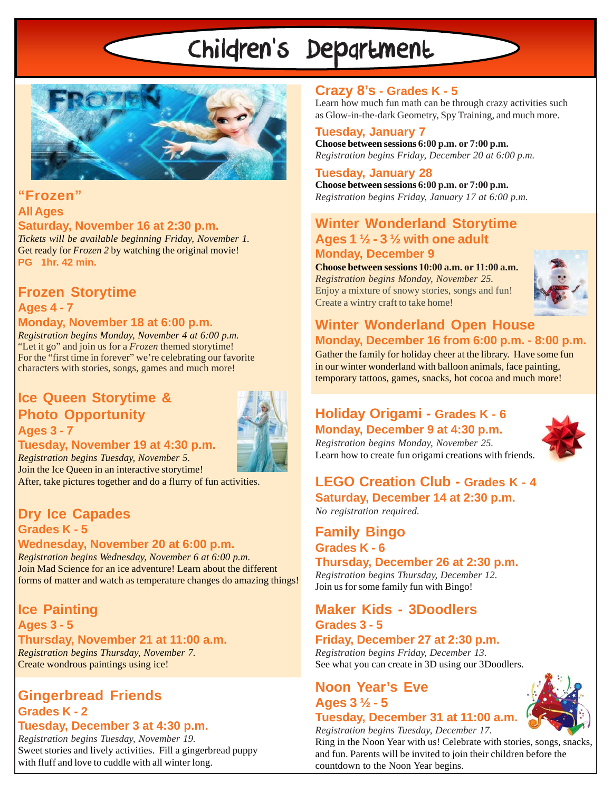# Children's Department



# **"Frozen" All Ages**

# **Saturday, November 16 at 2:30 p.m.**

*Tickets will be available beginning Friday, November 1.* Get ready for *Frozen 2* by watching the original movie! **PG 1hr. 42 min.**

# **Frozen Storytime**

# **Ages 4 - 7 Monday, November 18 at 6:00 p.m.**

*Registration begins Monday, November 4 at 6:00 p.m.* "Let it go" and join us for a *Frozen* themed storytime! For the "first time in forever" we're celebrating our favorite characters with stories, songs, games and much more!

# **Ice Queen Storytime & Photo Opportunity Ages 3 - 7**



# **Tuesday, November 19 at 4:30 p.m.**

*Registration begins Tuesday, November 5.* Join the Ice Queen in an interactive storytime!

After, take pictures together and do a flurry of fun activities.

# **Dry Ice Capades Grades K - 5**

**Wednesday, November 20 at 6:00 p.m.** *Registration begins Wednesday, November 6 at 6:00 p.m.* Join Mad Science for an ice adventure! Learn about the different forms of matter and watch as temperature changes do amazing things!

**Ice Painting Ages 3 - 5 Thursday, November 21 at 11:00 a.m.** *Registration begins Thursday, November 7.* Create wondrous paintings using ice!

# **Gingerbread Friends Grades K - 2**

### **Tuesday, December 3 at 4:30 p.m.**

*Registration begins Tuesday, November 19.* Sweet stories and lively activities. Fill a gingerbread puppy with fluff and love to cuddle with all winter long.

# **Crazy 8's - Grades K - 5**

Learn how much fun math can be through crazy activities such as Glow-in-the-dark Geometry, Spy Training, and much more.

*Registration begins Friday, December 20 at 6:00 p.m.* **Tuesday, January 7 Choose between sessions 6:00 p.m. or 7:00 p.m.**

# **Tuesday, January 28**

*Registration begins Friday, January 17 at 6:00 p.m.* **Choose between sessions 6:00 p.m. or 7:00 p.m.**

# **Winter Wonderland Storytime Ages 1 ½ - 3 ½ with one adult Monday, December 9**

**Choose between sessions 10:00 a.m. or 11:00 a.m.** *Registration begins Monday, November 25.* Enjoy a mixture of snowy stories, songs and fun! Create a wintry craft to take home!



# **Winter Wonderland Open House Monday, December 16 from 6:00 p.m. - 8:00 p.m.**

Gather the family for holiday cheer at the library. Have some fun in our winter wonderland with balloon animals, face painting, temporary tattoos, games, snacks, hot cocoa and much more!

# **Holiday Origami - Grades K - 6 Monday, December 9 at 4:30 p.m.**

*Registration begins Monday, November 25.* Learn how to create fun origami creations with friends.



# **LEGO Creation Club - Grades K - 4 Saturday, December 14 at 2:30 p.m.**

*No registration required.*

# **Family Bingo Grades K - 6**

**Thursday, December 26 at 2:30 p.m.** *Registration begins Thursday, December 12.* Join us for some family fun with Bingo!

# **Maker Kids - 3Doodlers Grades 3 - 5**

# **Friday, December 27 at 2:30 p.m.**

*Registration begins Friday, December 13.* See what you can create in 3D using our 3Doodlers.

# **Noon Year's Eve Ages 3 ½ - 5**

#### **Tuesday, December 31 at 11:00 a.m.** *Registration begins Tuesday, December 17.*

Ring in the Noon Year with us! Celebrate with stories, songs, snacks, and fun. Parents will be invited to join their children before the countdown to the Noon Year begins.